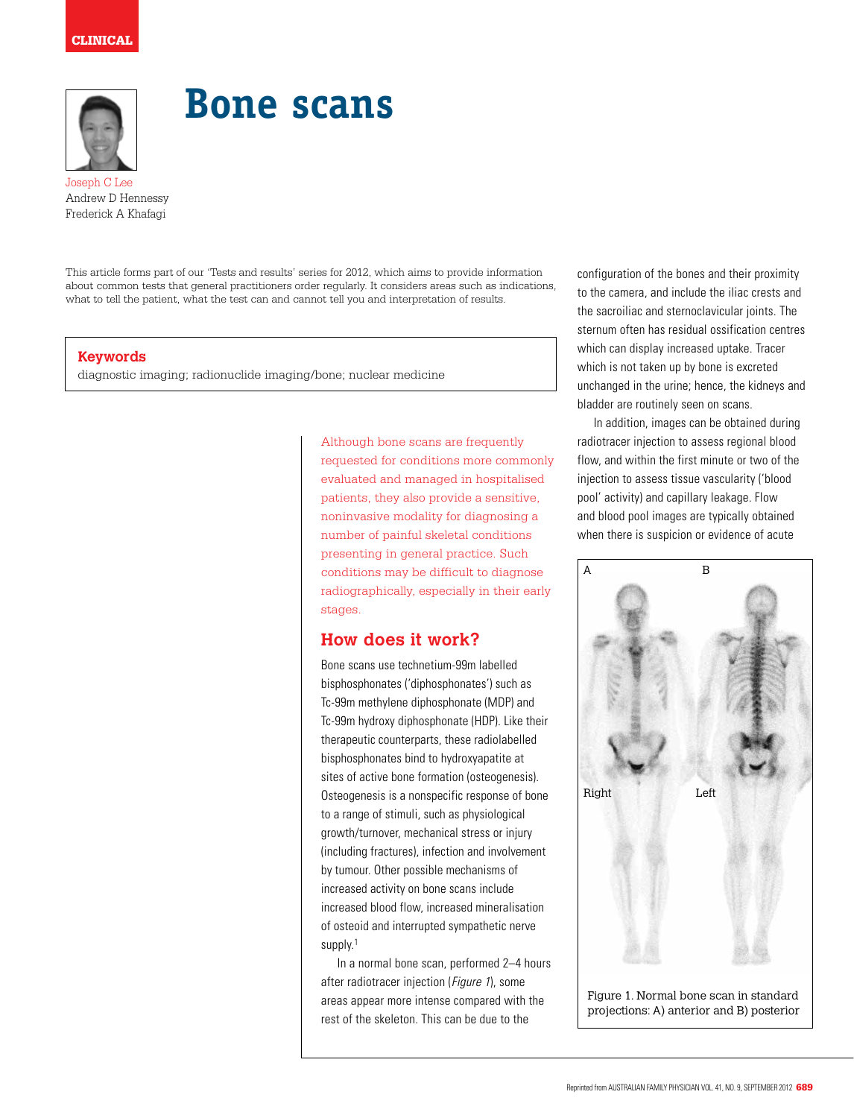

# **Bone scans**

Joseph C Lee Andrew D Hennessy Frederick A Khafagi

This article forms part of our 'Tests and results' series for 2012, which aims to provide information about common tests that general practitioners order regularly. It considers areas such as indications, what to tell the patient, what the test can and cannot tell you and interpretation of results.

#### **Keywords**

diagnostic imaging; radionuclide imaging/bone; nuclear medicine

Although bone scans are frequently requested for conditions more commonly evaluated and managed in hospitalised patients, they also provide a sensitive, noninvasive modality for diagnosing a number of painful skeletal conditions presenting in general practice. Such conditions may be difficult to diagnose radiographically, especially in their early stages.

### **How does it work?**

Bone scans use technetium-99m labelled bisphosphonates ('diphosphonates') such as Tc-99m methylene diphosphonate (MDP) and Tc-99m hydroxy diphosphonate (HDP). Like their therapeutic counterparts, these radiolabelled bisphosphonates bind to hydroxyapatite at sites of active bone formation (osteogenesis). Osteogenesis is a nonspecific response of bone to a range of stimuli, such as physiological growth/turnover, mechanical stress or injury (including fractures), infection and involvement by tumour. Other possible mechanisms of increased activity on bone scans include increased blood flow, increased mineralisation of osteoid and interrupted sympathetic nerve supply.<sup>1</sup>

In a normal bone scan, performed 2–4 hours after radiotracer injection (Figure 1), some areas appear more intense compared with the rest of the skeleton. This can be due to the

configuration of the bones and their proximity to the camera, and include the iliac crests and the sacroiliac and sternoclavicular joints. The sternum often has residual ossification centres which can display increased uptake. Tracer which is not taken up by bone is excreted unchanged in the urine; hence, the kidneys and bladder are routinely seen on scans.

In addition, images can be obtained during radiotracer injection to assess regional blood flow, and within the first minute or two of the injection to assess tissue vascularity ('blood pool' activity) and capillary leakage. Flow and blood pool images are typically obtained when there is suspicion or evidence of acute

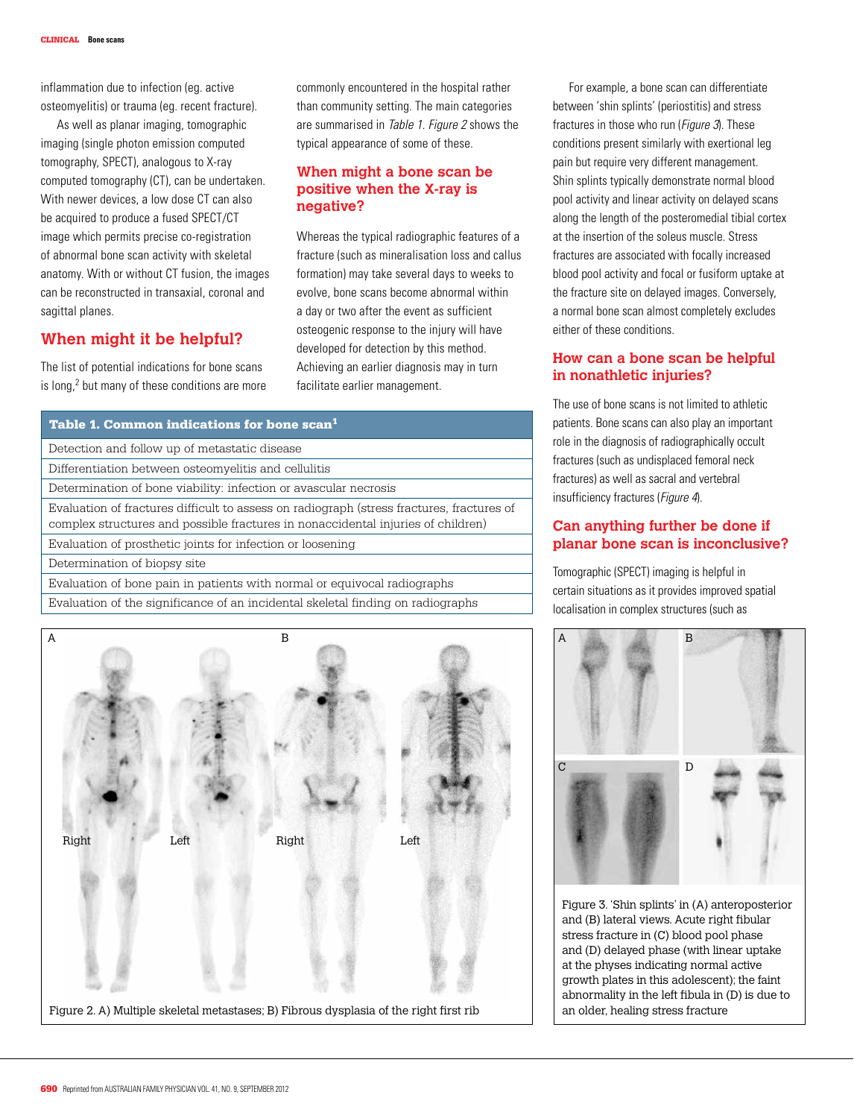inflammation due to infection (eg. active osteomyelitis) or trauma (eg. recent fracture).

As well as planar imaging, tomographic imaging (single photon emission computed tomography, SPECT), analogous to X-ray computed tomography (CT), can be undertaken. With newer devices, a low dose CT can also be acquired to produce a fused SPECT/CT image which permits precise co-registration of abnormal bone scan activity with skeletal anatomy. With or without CT fusion, the images can be reconstructed in transaxial, coronal and sagittal planes.

#### **When might it be helpful?**

The list of potential indications for bone scans is long,<sup>2</sup> but many of these conditions are more commonly encountered in the hospital rather than community setting. The main categories are summarised in Table 1. Figure 2 shows the typical appearance of some of these.

#### **When might a bone scan be positive when the X-ray is negative?**

Whereas the typical radiographic features of a fracture (such as mineralisation loss and callus formation) may take several days to weeks to evolve, bone scans become abnormal within a day or two after the event as sufficient osteogenic response to the injury will have developed for detection by this method. Achieving an earlier diagnosis may in turn facilitate earlier management.

| Table 1. Common indications for bone scan <sup>1</sup>                                                                                                                        |  |
|-------------------------------------------------------------------------------------------------------------------------------------------------------------------------------|--|
| Detection and follow up of metastatic disease                                                                                                                                 |  |
| Differentiation between osteomyelitis and cellulitis                                                                                                                          |  |
| Determination of bone viability: infection or avascular necrosis                                                                                                              |  |
| Evaluation of fractures difficult to assess on radiograph (stress fractures, fractures of<br>complex structures and possible fractures in nonaccidental injuries of children) |  |
| Evaluation of prosthetic joints for infection or loosening                                                                                                                    |  |
| Determination of biopsy site                                                                                                                                                  |  |
| Evaluation of bone pain in patients with normal or equivocal radiographs                                                                                                      |  |
| Evaluation of the significance of an incidental skeletal finding on radiographs                                                                                               |  |



For example, a bone scan can differentiate between 'shin splints' (periostitis) and stress fractures in those who run (Figure 3). These conditions present similarly with exertional leg pain but require very different management. Shin splints typically demonstrate normal blood pool activity and linear activity on delayed scans along the length of the posteromedial tibial cortex at the insertion of the soleus muscle. Stress fractures are associated with focally increased blood pool activity and focal or fusiform uptake at the fracture site on delayed images. Conversely, a normal bone scan almost completely excludes either of these conditions.

#### **How can a bone scan be helpful in nonathletic injuries?**

The use of bone scans is not limited to athletic patients. Bone scans can also play an important role in the diagnosis of radiographically occult fractures (such as undisplaced femoral neck fractures) as well as sacral and vertebral insufficiency fractures (Figure 4).

#### **Can anything further be done if planar bone scan is inconclusive?**

Tomographic (SPECT) imaging is helpful in certain situations as it provides improved spatial localisation in complex structures (such as



Figure 3. 'Shin splints' in (A) anteroposterior and (B) lateral views. Acute right fibular stress fracture in (C) blood pool phase and (D) delayed phase (with linear uptake at the physes indicating normal active growth plates in this adolescent); the faint abnormality in the left fibula in (D) is due to an older, healing stress fracture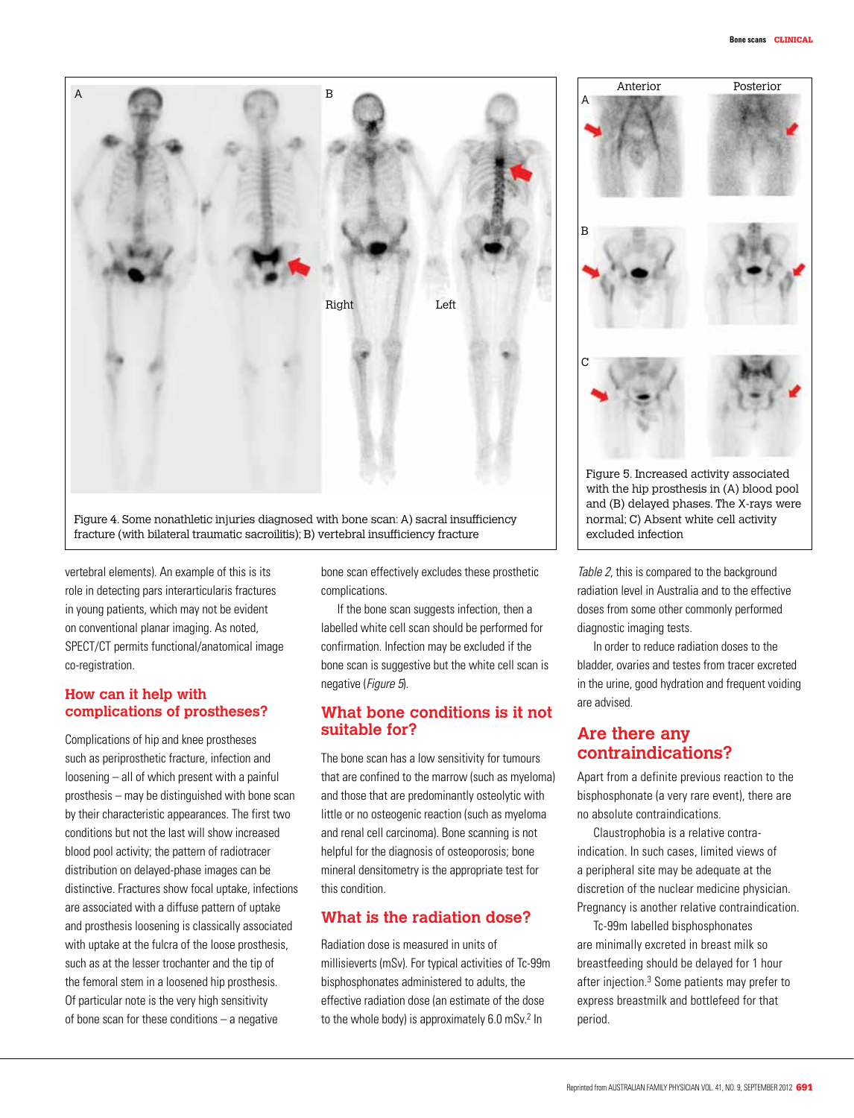

Figure 4. Some nonathletic injuries diagnosed with bone scan: A) sacral insufficiency fracture (with bilateral traumatic sacroilitis); B) vertebral insufficiency fracture

vertebral elements). An example of this is its role in detecting pars interarticularis fractures in young patients, which may not be evident on conventional planar imaging. As noted, SPECT/CT permits functional/anatomical image co-registration.

#### **How can it help with complications of prostheses?**

Complications of hip and knee prostheses such as periprosthetic fracture, infection and loosening – all of which present with a painful prosthesis – may be distinguished with bone scan by their characteristic appearances. The first two conditions but not the last will show increased blood pool activity; the pattern of radiotracer distribution on delayed-phase images can be distinctive. Fractures show focal uptake, infections are associated with a diffuse pattern of uptake and prosthesis loosening is classically associated with uptake at the fulcra of the loose prosthesis, such as at the lesser trochanter and the tip of the femoral stem in a loosened hip prosthesis. Of particular note is the very high sensitivity of bone scan for these conditions – a negative

bone scan effectively excludes these prosthetic complications.

If the bone scan suggests infection, then a labelled white cell scan should be performed for confirmation. Infection may be excluded if the bone scan is suggestive but the white cell scan is negative (Figure 5).

#### **What bone conditions is it not suitable for?**

The bone scan has a low sensitivity for tumours that are confined to the marrow (such as myeloma) and those that are predominantly osteolytic with little or no osteogenic reaction (such as myeloma and renal cell carcinoma). Bone scanning is not helpful for the diagnosis of osteoporosis; bone mineral densitometry is the appropriate test for this condition.

#### **What is the radiation dose?**

Radiation dose is measured in units of millisieverts (mSv). For typical activities of Tc-99m bisphosphonates administered to adults, the effective radiation dose (an estimate of the dose to the whole body) is approximately 6.0 mSv.<sup>2</sup> In



and (B) delayed phases. The X-rays were normal; C) Absent white cell activity excluded infection

Table 2, this is compared to the background radiation level in Australia and to the effective doses from some other commonly performed diagnostic imaging tests.

In order to reduce radiation doses to the bladder, ovaries and testes from tracer excreted in the urine, good hydration and frequent voiding are advised.

### **Are there any contraindications?**

Apart from a definite previous reaction to the bisphosphonate (a very rare event), there are no absolute contraindications.

Claustrophobia is a relative contraindication. In such cases, limited views of a peripheral site may be adequate at the discretion of the nuclear medicine physician. Pregnancy is another relative contraindication.

Tc-99m labelled bisphosphonates are minimally excreted in breast milk so breastfeeding should be delayed for 1 hour after injection.3 Some patients may prefer to express breastmilk and bottlefeed for that period.